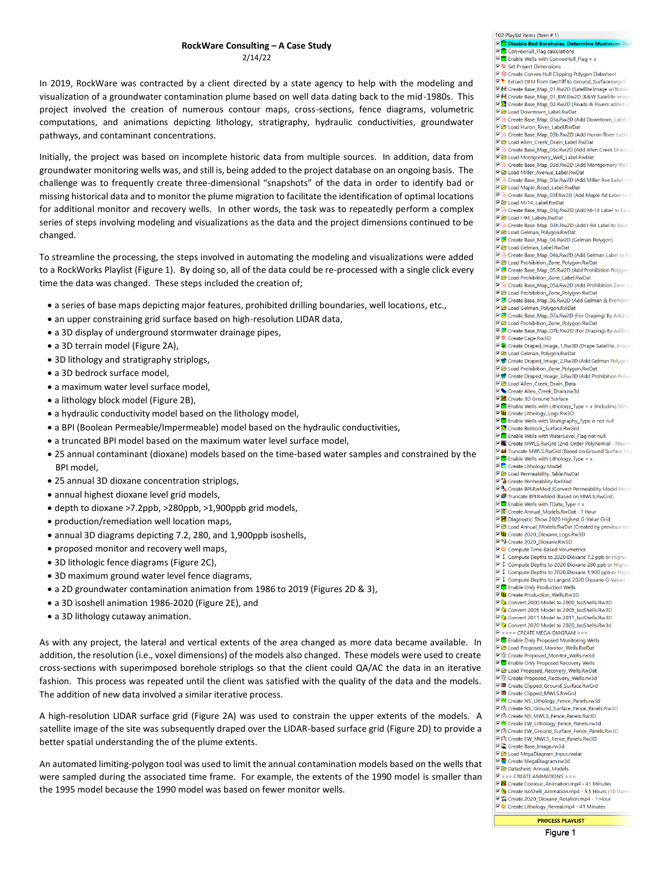In 2019, RockWare was contracted by a client directed by a state agency to help with the modeling and visualization of a groundwater contamination plume based on well data dating back to the mid-1980s. This project involved the creation of numerous contour maps, cross-sections, fence diagrams, volumetric computations, and animations depicting lithology, stratigraphy, hydraulic conductivities, groundwater pathways, and contaminant concentrations.

Initially, the project was based on incomplete historic data from multiple sources. In addition, data from groundwater monitoring wells was, and still is, being added to the project database on an ongoing basis. The challenge was to frequently create three-dimensional "snapshots" of the data in order to identify bad or missing historical data and to monitor the plume migration to facilitate the identification of optimal locations for additional monitor and recovery wells. In other words, the task was to repeatedly perform a complex series of steps involving modeling and visualizations as the data and the project dimensions continued to be changed.

To streamline the processing, the steps involved in automating the modeling and visualizations were added to a RockWorks Playlist (Figure 1). By doing so, all of the data could be re-processed with a single click every time the data was changed. These steps included the creation of;

- a series of base maps depicting major features, prohibited drilling boundaries, well locations, etc.,
- an upper constraining grid surface based on high-resolution LIDAR data,
- a 3D display of underground stormwater drainage pipes,
- a 3D terrain model (Figure 2A),
- 3D lithology and stratigraphy striplogs,
- a 3D bedrock surface model,
- a maximum water level surface model,
- a lithology block model (Figure 2B),
- a hydraulic conductivity model based on the lithology model,
- a BPI (Boolean Permeable/Impermeable) model based on the hydraulic conductivities,
- a truncated BPI model based on the maximum water level surface model,
- 25 annual contaminant (dioxane) models based on the time-based water samples and constrained by the BPI model,
- 25 annual 3D dioxane concentration striplogs,
- annual highest dioxane level grid models,
- depth to dioxane >7.2ppb, >280ppb, >1,900ppb grid models,
- production/remediation well location maps,
- annual 3D diagrams depicting 7.2, 280, and 1,900ppb isoshells,
- proposed monitor and recovery well maps,
- 3D lithologic fence diagrams (Figure 2C),
- 3D maximum ground water level fence diagrams,
- a 2D groundwater contamination animation from 1986 to 2019 (Figures 2D & 3),
- a 3D isoshell animation 1986-2020 (Figure 2E), and
- a 3D lithology cutaway animation.

As with any project, the lateral and vertical extents of the area changed as more data became available. In addition, the resolution (i.e., voxel dimensions) of the models also changed. These models were used to create cross-sections with superimposed borehole striplogs so that the client could QA/AC the data in an iterative fashion. This process was repeated until the client was satisfied with the quality of the data and the models. The addition of new data involved a similar iterative process.

A high-resolution LIDAR surface grid (Figure 2A) was used to constrain the upper extents of the models. A satellite image of the site was subsequently draped over the LIDAR-based surface grid (Figure 2D) to provide a better spatial understanding the of the plume extents.

An automated limiting-polygon tool was used to limit the annual contamination models based on the wells that were sampled during the associated time frame. For example, the extents of the 1990 model is smaller than the 1995 model because the 1990 model was based on fewer monitor wells.

|  | ConvexHull_Flag calculations                                                            |
|--|-----------------------------------------------------------------------------------------|
|  | $\nabla$ Enable Wells with ConvexHull_Flag = x                                          |
|  | ■ 粒 Set Project Dimensions                                                              |
|  | M < Create Convex Hull Clipping Polygon Datasheet                                       |
|  | Extract DEM from GeoTiff to Ground_Surface.rwgrd                                        |
|  | M Create Base_Map_01.Rw2D (Satellite Image w/Border /                                   |
|  | M Create Base_Map_01_BW.Rw2D (B&W Satellite Image                                       |
|  | <b>E &amp;</b> Create Base_Map_02.Rw2D (Roads & Rivers added to I                       |
|  | <b>E D</b> Load Downtown_Label.RwDat                                                    |
|  | MEX> Create Base_Map_03a.Rw2D (Add Downtown_Label to                                    |
|  | Mad Huron_River_Label.RwDat                                                             |
|  | MEX> Create Base_Map_03b.Rw2D (Add Huron River Label to                                 |
|  | De Load Allen_Creek_Drain_Label.RwDat                                                   |
|  | Create Base_Map_03c.Rw2D (Add Allen Creek Drain La                                      |
|  | I abel.RwDat Montgomery_Well_Label.RwDat                                                |
|  | Miller & Sase_Map_03d.Rw2D (Add Montgomery Well La                                      |
|  | M 2 Load Miller_Avenue_Label.RwDat                                                      |
|  | MEA Create Base_Map_03e.Rw2D (Add Miller Ave Label to B                                 |
|  | M 2 Load Maple_Road_Label.RwDat                                                         |
|  | ME A Create Base_Map_03f.Rw2D (Add Maple Rd Label to Ba                                 |
|  | ME Coad M-14_Label.RwDat<br>ME >>>>>> Create Base_Map_03g.Rw2D (Add M-14 Label to Base_ |
|  | M 2 Load I-94_Labels.RwDat                                                              |
|  | ME >>> Create Base Map 03h.Rw2D (Add I-94 Label to Base M                               |
|  | Mad Gelman_Polygon.RwDat                                                                |
|  | Create Base_Map_04.Rw2D (Gelman Polygon)                                                |
|  | <b>▽ 2</b> Load Gelman_Label.RwDat                                                      |
|  | Create Base_Map_04a.Rw2D (Add Gelman Label to Bas                                       |
|  | DE Load Prohibition_Zone_Polygon.RwDat                                                  |
|  | Create Base_Map_05.Rw2D (Add Prohibition Polygon to                                     |
|  | M 2 Load Prohibition_Zone_Label.RwDat                                                   |
|  | MEX Create Base_Map_05a.Rw2D (Add Prohibition Zone Lal                                  |
|  | I a Load Prohibition_Zone_Polygon.RwDat                                                 |
|  | Create Base_Map_06.Rw2D (Add Gelman & Prohibition                                       |
|  | Mad Gelman_Polygon.RwDat                                                                |
|  | Mangleright (For Draping) By Adding (Map_07a.Rw2D (For Draping) By Adding               |
|  | I a Load Prohibition_Zone_Polygon.RwDat                                                 |
|  | Create Base_Map_07b.Rw2D (For Draping) By Adding I                                      |
|  | ■ 着 Create Cage.Rw3D                                                                    |
|  |                                                                                         |
|  | M 2 Load Gelman_Polygon.RwDat                                                           |
|  | TO Create Draped_Image_2.Rw3D (Add Gelman Polygon to                                    |
|  | C Coad Prohibition_Zone_Polygon.RwDat                                                   |
|  | TO Create Draped_Image_3.Rw3D (Add Prohibition Polyge                                   |
|  | Ma Load Allen_Creek_Drain_Data                                                          |
|  | Create Allen_Creek_Drain.rw3d                                                           |
|  | <b>▽ 里</b> Create 3D Ground Surface                                                     |
|  | $\nabla$ Enable Wells with Lithology_Type = x (Including SIPs)                          |
|  | <b>▽ 山</b> Create Lithology_Logs.Rw3D                                                   |
|  | E C Enable Wells with Stratigraphy_Type is not null                                     |
|  | M. Create Bedrock_Surface.RwGrd                                                         |
|  |                                                                                         |
|  | <b>▽ O</b> Enable Wells with WaterLevel_Flag not null                                   |
|  | <b>IZ III</b> Create MWLS.RwGrd (2nd-Order Polynomial - Maximu                          |
|  | Tai Truncate MWLS.RwGrd (Based on Ground Surface Mod                                    |
|  | $\nabla$ Enable Wells with Lithology_Type = x                                           |
|  | <b>E</b> Create Lithology Model                                                         |
|  | I able.RwDat Permeability_Table.RwDat                                                   |
|  | <b>Z</b> <sup>2</sup> Create Permeability.RwMod                                         |
|  | Model Model Nodel Convert Permeability Model Model                                      |
|  | Me Truncate BPI.RwMod (Based on MWLS.RwGrd)                                             |
|  | $\nabla$ Enable Wells with TData_Type = x                                               |
|  | ▽  Create Annual_Models.RwDat - 1 Hour                                                  |
|  | IZE Diagnostic: Show 2020 Highest G-Value Grid                                          |
|  | D Load Annual_Models.RwDat (Created by previous step.                                   |
|  | <b>▽ UL</b> Create 2020_Dioxane_Logs.Rw3D                                               |
|  | Ma Create 2020_Dioxane.Rw3D                                                             |
|  | <b>E ©</b> Compute Time-Based Volumetrics                                               |
|  | ■ 1 Compute Depths to 2020 Dioxane 7.2 ppb or Higher                                    |
|  | ■ 1 Compute Depths to 2020 Dioxane 280 ppb or Higher                                    |
|  | ■ 1 Compute Depths to 2020 Dioxane 1,900 ppb or Higher                                  |
|  | □ ↓ Compute Depths to Largest 2020 Dioxane G-Values                                     |
|  | <b>▽ ●</b> Enable Only Production Wells<br><b>▽ UI</b> Create Production_Wells.Rw3D     |
|  | Convert 2000 Model to 2000_IsoShells.Rw3D                                               |
|  | Convert 2005 Model to 2005_IsoShells.Rw3D                                               |
|  |                                                                                         |
|  | Convert 2011 Model to 2011_IsoShells.Rw3D<br>Convert 2020 Model to 2020_IsoShells.Rw3d  |
|  | $\overline{M}$ = = = CREATE MEGA-DIAGRAM = = =                                          |
|  | <b>▽ O</b> Enable Only Proposed Monitoring Wells                                        |
|  | Me Load Proposed_Monitor_Wells.RwDat                                                    |
|  | <sup>E</sup> © Create Proposed_Monitor_Wells.rw3d                                       |
|  | <b>▽ O</b> Enable Only Proposed Recovery Wells                                          |
|  | Me Coad Proposed_Recovery_Wells.RwDat                                                   |
|  | <b>▽ <br/> Create Proposed_Recovery_Wells.rw3d</b>                                      |
|  | ▽   图 Create Clipped_Ground_Surface.RwGrd                                               |
|  | ▽   Create Clipped_MWLS.RwGrd                                                           |
|  | MEX Create NS_Lithology_Fence_Panels.rw3d                                               |
|  | ▽<br>Create NS_Ground_Surface_Fence_Panels.Rw3D                                         |
|  | 区内 Create NS_MWLS_Fence_Panels.Rw3D                                                     |
|  |                                                                                         |
|  | ▽ < Create EW_Ground_Surface_Fence_Panels.Rw3D                                          |
|  | ▽<br>Create EW_MWLS_Fence_Panels.Rw3D                                                   |
|  | □□ Create Base_Image.rw3d                                                               |
|  | <b>E C</b> Load MegaDiagram_Input.rwdat                                                 |
|  | <b>जिंद्धे</b> Create MegaDiagram.rw3d<br>Datasheet: Annual_Models                      |
|  | $\nabla$ = = = CREATE ANIMATIONS = = =                                                  |
|  | Create Contour_Animation.mp4 - 41 Minutes                                               |

102 Playlist Items (Item # 1) Disable Bad Bo

- ▽ 쎌 Create 2020\_Dioxane\_Rotation.mp4 1 Hour **□ ©** Create Lithology\_Reveal.mp4 - 41 Minutes
-